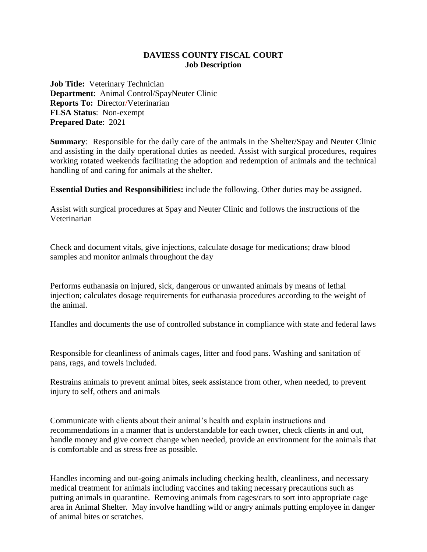## **DAVIESS COUNTY FISCAL COURT Job Description**

**Job Title:** Veterinary Technician **Department**: Animal Control/SpayNeuter Clinic **Reports To:** Director/Veterinarian **FLSA Status**: Non-exempt **Prepared Date**: 2021

**Summary**: Responsible for the daily care of the animals in the Shelter/Spay and Neuter Clinic and assisting in the daily operational duties as needed. Assist with surgical procedures, requires working rotated weekends facilitating the adoption and redemption of animals and the technical handling of and caring for animals at the shelter.

**Essential Duties and Responsibilities:** include the following. Other duties may be assigned.

Assist with surgical procedures at Spay and Neuter Clinic and follows the instructions of the Veterinarian

Check and document vitals, give injections, calculate dosage for medications; draw blood samples and monitor animals throughout the day

Performs euthanasia on injured, sick, dangerous or unwanted animals by means of lethal injection; calculates dosage requirements for euthanasia procedures according to the weight of the animal.

Handles and documents the use of controlled substance in compliance with state and federal laws

Responsible for cleanliness of animals cages, litter and food pans. Washing and sanitation of pans, rags, and towels included.

Restrains animals to prevent animal bites, seek assistance from other, when needed, to prevent injury to self, others and animals

Communicate with clients about their animal's health and explain instructions and recommendations in a manner that is understandable for each owner, check clients in and out, handle money and give correct change when needed, provide an environment for the animals that is comfortable and as stress free as possible.

Handles incoming and out-going animals including checking health, cleanliness, and necessary medical treatment for animals including vaccines and taking necessary precautions such as putting animals in quarantine. Removing animals from cages/cars to sort into appropriate cage area in Animal Shelter. May involve handling wild or angry animals putting employee in danger of animal bites or scratches.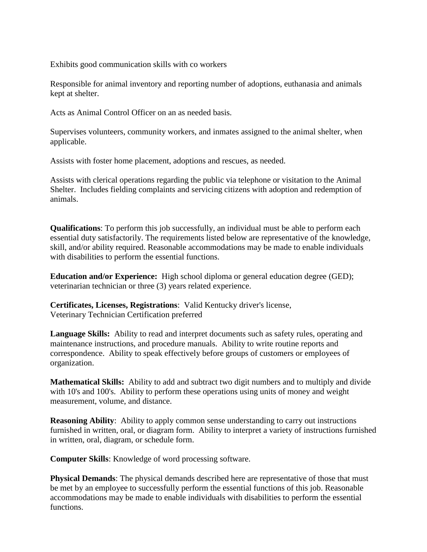Exhibits good communication skills with co workers

Responsible for animal inventory and reporting number of adoptions, euthanasia and animals kept at shelter.

Acts as Animal Control Officer on an as needed basis.

Supervises volunteers, community workers, and inmates assigned to the animal shelter, when applicable.

Assists with foster home placement, adoptions and rescues, as needed.

Assists with clerical operations regarding the public via telephone or visitation to the Animal Shelter. Includes fielding complaints and servicing citizens with adoption and redemption of animals.

**Qualifications**: To perform this job successfully, an individual must be able to perform each essential duty satisfactorily. The requirements listed below are representative of the knowledge, skill, and/or ability required. Reasonable accommodations may be made to enable individuals with disabilities to perform the essential functions.

**Education and/or Experience:** High school diploma or general education degree (GED); veterinarian technician or three (3) years related experience.

**Certificates, Licenses, Registrations**: Valid Kentucky driver's license, Veterinary Technician Certification preferred

**Language Skills:** Ability to read and interpret documents such as safety rules, operating and maintenance instructions, and procedure manuals. Ability to write routine reports and correspondence. Ability to speak effectively before groups of customers or employees of organization.

**Mathematical Skills:** Ability to add and subtract two digit numbers and to multiply and divide with 10's and 100's. Ability to perform these operations using units of money and weight measurement, volume, and distance.

**Reasoning Ability**: Ability to apply common sense understanding to carry out instructions furnished in written, oral, or diagram form. Ability to interpret a variety of instructions furnished in written, oral, diagram, or schedule form.

**Computer Skills**: Knowledge of word processing software.

**Physical Demands**: The physical demands described here are representative of those that must be met by an employee to successfully perform the essential functions of this job. Reasonable accommodations may be made to enable individuals with disabilities to perform the essential functions.